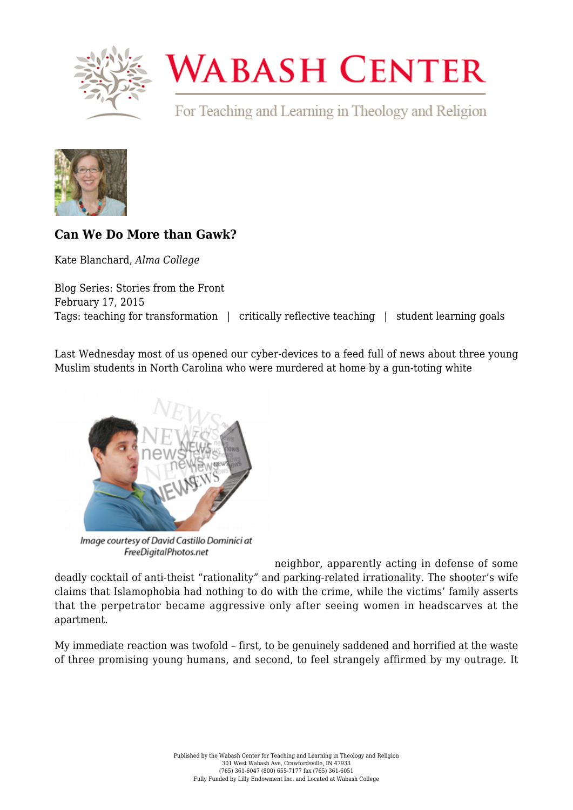

## **WABASH CENTER**

For Teaching and Learning in Theology and Religion



## **[Can We Do More than Gawk?](https://www.wabashcenter.wabash.edu/2015/02/can-we-do-more-than-gawk/)**

Kate Blanchard, *Alma College*

Blog Series: Stories from the Front February 17, 2015 Tags: teaching for transformation | critically reflective teaching | student learning goals

Last Wednesday most of us opened our cyber-devices to a feed full of news about [three young](http://www.washingtonpost.com/news/morning-mix/wp/2015/02/11/reports-3-young-muslims-slain-in-chapel-hill-shooting-n-c-man-charged/) [Muslim students in North Carolina](http://www.washingtonpost.com/news/morning-mix/wp/2015/02/11/reports-3-young-muslims-slain-in-chapel-hill-shooting-n-c-man-charged/) who were murdered at home by a gun-toting white



Image courtesy of David Castillo Dominici at FreeDigitalPhotos.net

neighbor, apparently acting in defense of some deadly cocktail of anti-theist "rationality" and parking-related irrationality. The shooter's wife claims that Islamophobia had nothing to do with the crime, while the victims' family asserts that the perpetrator became aggressive only after seeing women in headscarves at the apartment.

My immediate reaction was twofold – first, to be genuinely saddened and horrified at the waste of three promising young humans, and second, to feel strangely affirmed by my outrage. It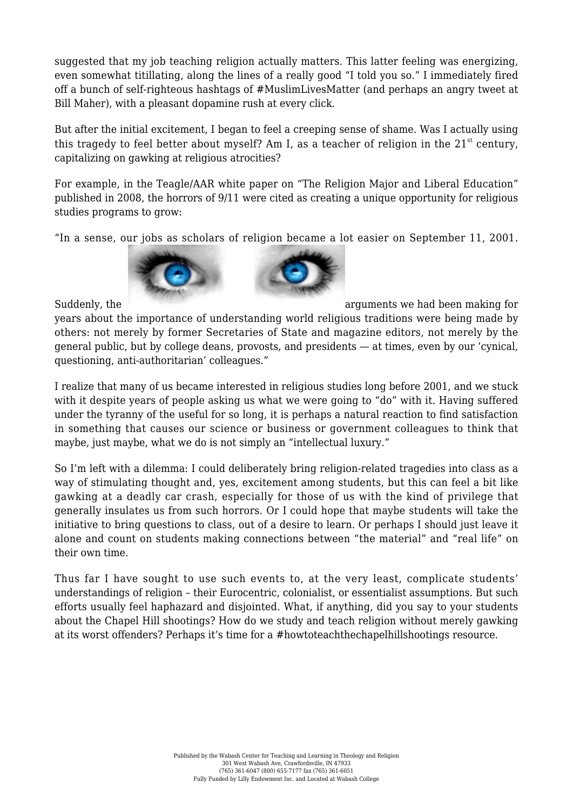suggested that my job teaching religion actually matters. This latter feeling was energizing, even somewhat titillating, along the lines of a really good "I told you so." I immediately fired off a bunch of self-righteous hashtags of #MuslimLivesMatter (and perhaps an angry tweet at Bill Maher), with a pleasant [dopamine rush](http://www.blog.theteamw.com/2009/11/07/100-things-you-should-know-about-people-8-dopamine-makes-us-addicted-to-seeking-information/) at every click.

But after the initial excitement, I began to feel a creeping sense of shame. Was I actually using this tragedy to feel better about myself? Am I, as a teacher of religion in the  $21<sup>st</sup>$  century, capitalizing on gawking at religious atrocities?

For example, in the Teagle/AAR white paper on ["The Religion Major and Liberal Education"](https://www.aarweb.org/AARMBR/AARMBR/Publications-and-News-/Data-and-Studies-/Teagle-Study.aspx) published in 2008, the horrors of 9/11 were cited as creating a unique opportunity for religious studies programs to grow:

"In a sense, our jobs as scholars of religion became a lot easier on September 11, 2001.





Suddenly, the [a](http://live-wabash.pantheonsite.io/wp-content/uploads/2016/07/6a016301e4b359970d01b7c74e032a970b-pi.png)rguments we had been making for any state of the arguments we had been making for years about the importance of understanding world religious traditions were being made by others: not merely by former Secretaries of State and magazine editors, not merely by the general public, but by college deans, provosts, and presidents — at times, even by our 'cynical, questioning, anti-authoritarian' colleagues."

I realize that many of us became interested in religious studies long before 2001, and we stuck with it despite years of people asking us what we were going to "do" with it. Having suffered under the tyranny of the useful for so long, it is perhaps a natural reaction to find satisfaction in something that causes our science or business or government colleagues to think that maybe, just maybe, what we do is not simply an "[intellectual luxury](http://chronicle.com/article/The-Day-the-Purpose-of-College/151359)."

So I'm left with a dilemma: I could deliberately bring religion-related tragedies into class as a way of stimulating thought and, yes, excitement among students, but this can feel a bit like gawking at a deadly car crash, especially for those of us with the kind of [privilege](https://www.wabashcenter.wabash.edu/2015/02/the-conversation-we-must-get-tired-of/) that generally insulates us from such horrors. Or I could hope that maybe students will take the initiative to bring questions to class, out of a desire to learn. Or perhaps I should just leave it alone and count on students making connections between "the material" and "real life" on their own time.

Thus far I have sought to use such events to, at the very least, complicate students' understandings of religion – their [Eurocentric,](http://press.princeton.edu/titles/10017.html) [colonialist](http://www.routledge.com/books/details/9780415202572/), or [essentialist](https://global.oup.com/academic/product/more-than-belief-9780195188547?cc=us&lang=en&) assumptions. But such efforts usually feel haphazard and disjointed. What, if anything, did you say to your students about the Chapel Hill shootings? How do we study and teach religion without merely gawking at its worst offenders? Perhaps it's time for a [#howtoteachthechapelhillshootings](http://www.msnbc.com/melissa-harris-perry/open-letter-how-teach-students-about-ferguson) resource.